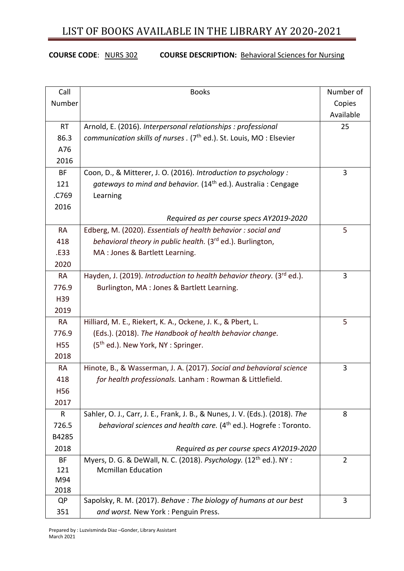## LIST OF BOOKS AVAILABLE IN THE LIBRARY AY 2020-2021

### **COURSE CODE**: NURS 302 **COURSE DESCRIPTION:** Behavioral Sciences for Nursing

| Call       | <b>Books</b>                                                                      | Number of      |
|------------|-----------------------------------------------------------------------------------|----------------|
| Number     |                                                                                   | Copies         |
|            |                                                                                   | Available      |
| <b>RT</b>  | Arnold, E. (2016). Interpersonal relationships : professional                     | 25             |
| 86.3       | communication skills of nurses . (7 <sup>th</sup> ed.). St. Louis, MO: Elsevier   |                |
| A76        |                                                                                   |                |
| 2016       |                                                                                   |                |
| BF         | Coon, D., & Mitterer, J. O. (2016). Introduction to psychology :                  | 3              |
| 121        | gateways to mind and behavior. (14 <sup>th</sup> ed.). Australia: Cengage         |                |
| .C769      | Learning                                                                          |                |
| 2016       |                                                                                   |                |
|            | Required as per course specs AY2019-2020                                          |                |
| <b>RA</b>  | Edberg, M. (2020). Essentials of health behavior: social and                      | 5              |
| 418        | behavioral theory in public health. (3 <sup>rd</sup> ed.). Burlington,            |                |
| .E33       | MA : Jones & Bartlett Learning.                                                   |                |
| 2020       |                                                                                   |                |
| <b>RA</b>  | Hayden, J. (2019). Introduction to health behavior theory. (3 <sup>rd</sup> ed.). | 3              |
| 776.9      | Burlington, MA: Jones & Bartlett Learning.                                        |                |
| H39        |                                                                                   |                |
| 2019       |                                                                                   |                |
| <b>RA</b>  | Hilliard, M. E., Riekert, K. A., Ockene, J. K., & Pbert, L.                       | 5              |
| 776.9      | (Eds.). (2018). The Handbook of health behavior change.                           |                |
| <b>H55</b> | (5 <sup>th</sup> ed.). New York, NY: Springer.                                    |                |
| 2018       |                                                                                   |                |
| <b>RA</b>  | Hinote, B., & Wasserman, J. A. (2017). Social and behavioral science              | 3              |
| 418        | for health professionals. Lanham: Rowman & Littlefield.                           |                |
| H56        |                                                                                   |                |
| 2017       |                                                                                   |                |
| R          | Sahler, O. J., Carr, J. E., Frank, J. B., & Nunes, J. V. (Eds.). (2018). The      | 8              |
| 726.5      | behavioral sciences and health care. (4 <sup>th</sup> ed.). Hogrefe: Toronto.     |                |
| B4285      |                                                                                   |                |
| 2018       | Required as per course specs AY2019-2020                                          |                |
| BF         | Myers, D. G. & DeWall, N. C. (2018). Psychology. (12 <sup>th</sup> ed.). NY :     | $\overline{2}$ |
| 121        | <b>Mcmillan Education</b>                                                         |                |
| M94        |                                                                                   |                |
| 2018<br>QP | Sapolsky, R. M. (2017). Behave: The biology of humans at our best                 | 3              |
| 351        | and worst. New York: Penguin Press.                                               |                |
|            |                                                                                   |                |